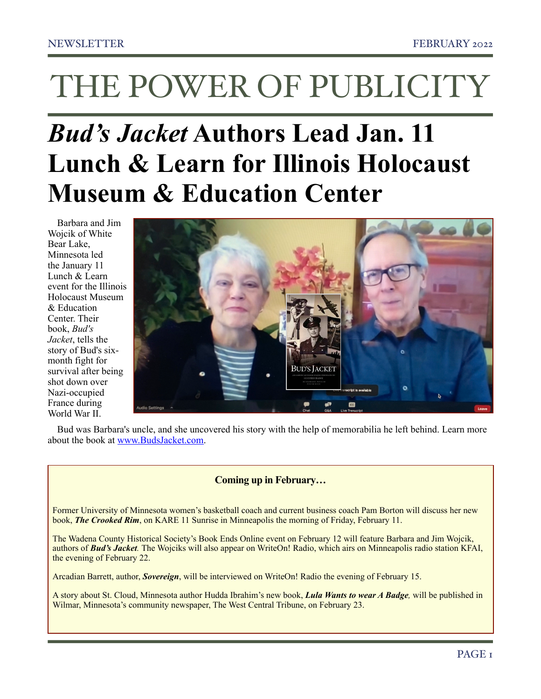# *Bud's Jacket* **Authors Lead Jan. 11 Lunch & Learn for Illinois Holocaust Museum & Education Center**

Barbara and Jim Wojcik of White Bear Lake, Minnesota led the [January 11](https://www.ilholocaustmuseum.org/events/lunch-learn-buds-jacket-an-american-flyer-evades-the-nazis-in-occupied-france/)  [Lunch & Learn](https://www.ilholocaustmuseum.org/events/lunch-learn-buds-jacket-an-american-flyer-evades-the-nazis-in-occupied-france/)  [event](https://www.ilholocaustmuseum.org/events/lunch-learn-buds-jacket-an-american-flyer-evades-the-nazis-in-occupied-france/) for the Illinois Holocaust Museum & Education Center. Their book, *Bud's Jacket*, tells the story of Bud's sixmonth fight for survival after being shot down over Nazi-occupied France during World War II.



Bud was Barbara's uncle, and she uncovered his story with the help of memorabilia he left behind. Learn more about the book at [www.BudsJacket.com](http://www.budsjacket.com).

# **Coming up in February…**

Former University of Minnesota women's basketball coach and current business coach Pam Borton will discuss her new book, *The Crooked Rim*, on KARE 11 Sunrise in Minneapolis the morning of Friday, February 11.

The Wadena County Historical Society's Book Ends Online event on February 12 will feature Barbara and Jim Wojcik, authors of *Bud's Jacket.* The Wojciks will also appear on WriteOn! Radio, which airs on Minneapolis radio station KFAI, the evening of February 22.

Arcadian Barrett, author, *Sovereign*, will be interviewed on WriteOn! Radio the evening of February 15.

A story about St. Cloud, Minnesota author Hudda Ibrahim's new book, *Lula Wants to wear A Badge,* will be published in Wilmar, Minnesota's community newspaper, The West Central Tribune, on February 23.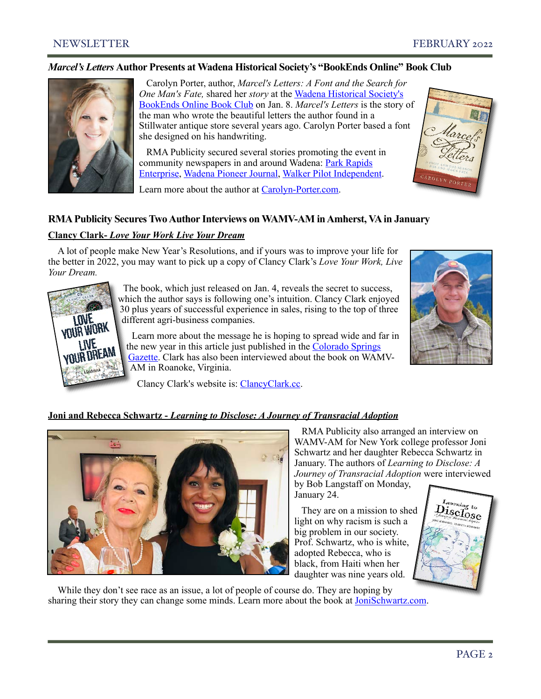# *Marcel's Letters* **Author Presents at Wadena Historical Society's "BookEnds Online" Book Club**



 Carolyn Porter, author, *Marcel's Letters: A Font and the Search for One Man's Fate,* shared her *story* at the [Wadena Historical Society's](https://www.wadenacountyhistory.org/#one)  [BookEnds Online Book Club](https://www.wadenacountyhistory.org/#one) on Jan. 8. *Marcel's Letters* is the story of the man who wrote the beautiful letters the author found in a Stillwater antique store several years ago. Carolyn Porter based a font she designed on his handwriting.

 RMA Publicity secured several stories promoting the event in community newspapers in and around Wadena: [Park Rapids](https://www.parkrapidsenterprise.com/carolyn-porter-featured-jan-8-on-bookends)  [Enterprise,](https://www.parkrapidsenterprise.com/carolyn-porter-featured-jan-8-on-bookends) [Wadena Pioneer Journal,](https://www.wadenapj.com/bookends-features-author-and-graphic-designer-carolyn-porter-on-jan-8) [Walker Pilot Independent](https://www.walkermn.com/news/author-graphic-designer-is-featured-speaker-on-bookends-online-edition-jan-8/article_91e83f08-6d60-11ec-ab16-1f2cef70e5cd.html).



# Learn more about the author at [Carolyn-Porter.com](https://carolyn-porter.com/).

# **RMA Publicity Secures Two Author Interviews on WAMV-AM in Amherst, VA in January**

# **Clancy Clark-** *Love Your Work Live Your Dream*

A lot of people make New Year's Resolutions, and if yours was to improve your life for the better in 2022, you may want to pick up a copy of Clancy Clark's *Love Your Work, Live Your Dream.*



 The book, which just released on Jan. 4, reveals the secret to success, which the author says is following one's intuition. Clancy Clark enjoyed 30 plus years of successful experience in sales, rising to the top of three different agri-business companies.

 Learn more about the message he is hoping to spread wide and far in the new year in this article just published in the [Colorado Springs](https://gazette.com/life/live-well-former-colorado-springs-resident-hopes-to-inspire-people-toward-more-fulfilling-work-with/article_fb90c3f6-5c64-11ec-8567-677bdf4e344b.html)  [Gazette.](https://gazette.com/life/live-well-former-colorado-springs-resident-hopes-to-inspire-people-toward-more-fulfilling-work-with/article_fb90c3f6-5c64-11ec-8567-677bdf4e344b.html) Clark has also been interviewed about the book on WAMV-AM in Roanoke, Virginia.

Clancy Clark's website is: [ClancyClark.cc](http://www.clancyclark.cc/).



# **Joni and Rebecca Schwartz -** *Learning to Disclose: A Journey of Transracial Adoption*



 RMA Publicity also arranged an interview on WAMV-AM for New York college professor Joni Schwartz and her daughter Rebecca Schwartz in January. The authors of *Learning to Disclose: A Journey of Transracial Adoption* were interviewed

by Bob Langstaff on Monday, January 24.

 They are on a mission to shed light on why racism is such a big problem in our society. Prof. Schwartz, who is white, adopted Rebecca, who is black, from Haiti when her daughter was nine years old.



While they don't see race as an issue, a lot of people of course do. They are hoping by sharing their story they can change some minds. Learn more about the book at [JoniSchwartz.com.](https://jonischwartz.com/)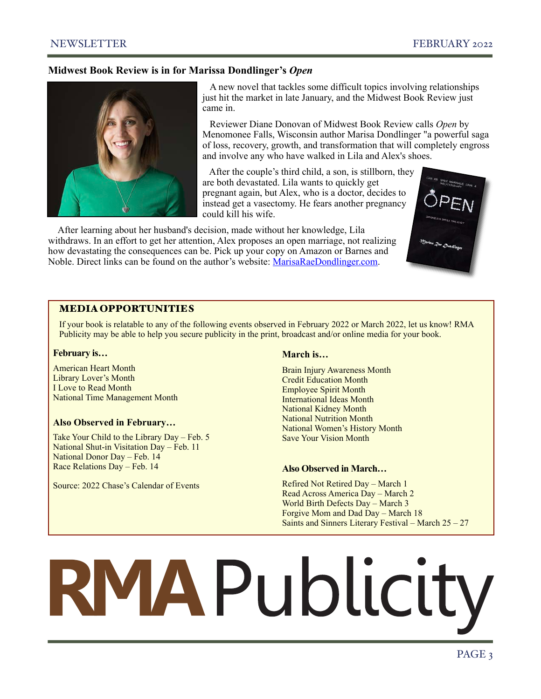# **Midwest Book Review is in for Marissa Dondlinger's** *Open*



A new novel that tackles some difficult topics involving relationships just hit the market in late January, and the Midwest Book Review just came in.

 Reviewer Diane Donovan of Midwest Book Review calls *Open* by Menomonee Falls, Wisconsin author Marisa Dondlinger "a powerful saga of loss, recovery, growth, and transformation that will completely engross and involve any who have walked in Lila and Alex's shoes.

 After the couple's third child, a son, is stillborn, they are both devastated. Lila wants to quickly get pregnant again, but Alex, who is a doctor, decides to instead get a vasectomy. He fears another pregnancy could kill his wife.

After learning about her husband's decision, made without her knowledge, Lila withdraws. In an effort to get her attention, Alex proposes an open marriage, not realizing how devastating the consequences can be. Pick up your copy on Amazon or Barnes and Noble. Direct links can be found on the author's website: [MarisaRaeDondlinger.com.](https://marisaraedondlinger.com/books/open/)



# MEDIA OPPORTUNITIES

If your book is relatable to any of the following events observed in February 2022 or March 2022, let us know! RMA Publicity may be able to help you secure publicity in the print, broadcast and/or online media for your book.

#### **February is…**

American Heart Month Library Lover's Month I Love to Read Month National Time Management Month

#### **Also Observed in February…**

Take Your Child to the Library Day – Feb. 5 National Shut-in Visitation Day – Feb. 11 National Donor Day – Feb. 14 Race Relations Day – Feb. 14

Source: 2022 Chase's Calendar of Events

#### **March is…**

Brain Injury Awareness Month Credit Education Month Employee Spirit Month International Ideas Month National Kidney Month National Nutrition Month National Women's History Month Save Your Vision Month

#### **Also Observed in March…**

Refired Not Retired Day – March 1 Read Across America Day – March 2 World Birth Defects Day – March 3 Forgive Mom and Dad Day – March 18 Saints and Sinners Literary Festival – March 25 – 27

# RMAPublicity